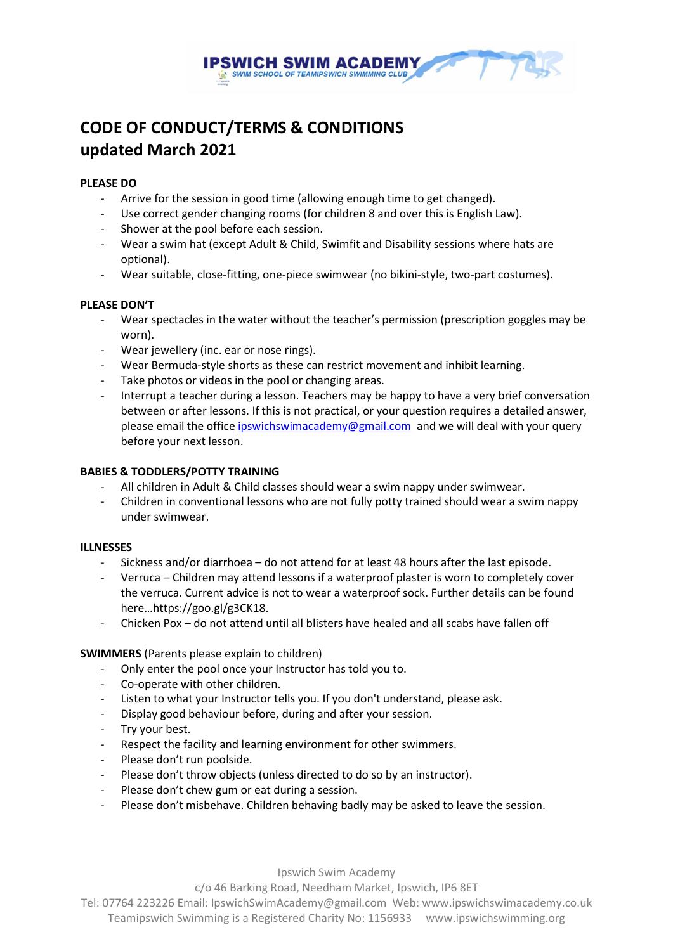

# CODE OF CONDUCT/TERMS & CONDITIONS updated March 2021

#### PLEASE DO

- Arrive for the session in good time (allowing enough time to get changed).
- Use correct gender changing rooms (for children 8 and over this is English Law).
- Shower at the pool before each session.
- Wear a swim hat (except Adult & Child, Swimfit and Disability sessions where hats are optional).
- Wear suitable, close-fitting, one-piece swimwear (no bikini-style, two-part costumes).

#### PLEASE DON'T

- Wear spectacles in the water without the teacher's permission (prescription goggles may be worn).
- Wear jewellery (inc. ear or nose rings).
- Wear Bermuda-style shorts as these can restrict movement and inhibit learning.
- Take photos or videos in the pool or changing areas.
- Interrupt a teacher during a lesson. Teachers may be happy to have a very brief conversation between or after lessons. If this is not practical, or your question requires a detailed answer, please email the office ipswichswimacademy@gmail.com and we will deal with your query before your next lesson.

## BABIES & TODDLERS/POTTY TRAINING

- All children in Adult & Child classes should wear a swim nappy under swimwear.
- Children in conventional lessons who are not fully potty trained should wear a swim nappy under swimwear.

#### ILLNESSES

- Sickness and/or diarrhoea do not attend for at least 48 hours after the last episode.
- Verruca Children may attend lessons if a waterproof plaster is worn to completely cover the verruca. Current advice is not to wear a waterproof sock. Further details can be found here…https://goo.gl/g3CK18.
- Chicken Pox do not attend until all blisters have healed and all scabs have fallen off

#### SWIMMERS (Parents please explain to children)

- Only enter the pool once your Instructor has told you to.
- Co-operate with other children.
- Listen to what your Instructor tells you. If you don't understand, please ask.
- Display good behaviour before, during and after your session.
- Try your best.
- Respect the facility and learning environment for other swimmers.
- Please don't run poolside.
- Please don't throw objects (unless directed to do so by an instructor).
- Please don't chew gum or eat during a session.
- Please don't misbehave. Children behaving badly may be asked to leave the session.

Ipswich Swim Academy

c/o 46 Barking Road, Needham Market, Ipswich, IP6 8ET

Tel: 07764 223226 Email: IpswichSwimAcademy@gmail.com Web: www.ipswichswimacademy.co.uk

Teamipswich Swimming is a Registered Charity No: 1156933 www.ipswichswimming.org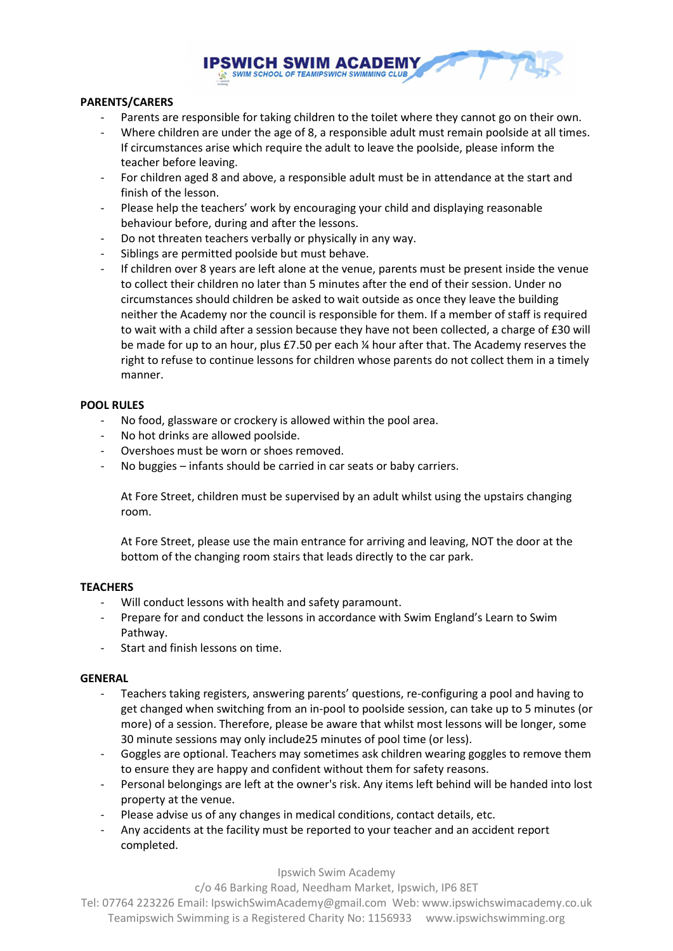

## PARENTS/CARERS

- Parents are responsible for taking children to the toilet where they cannot go on their own.
- Where children are under the age of 8, a responsible adult must remain poolside at all times. If circumstances arise which require the adult to leave the poolside, please inform the
- teacher before leaving. - For children aged 8 and above, a responsible adult must be in attendance at the start and finish of the lesson.
- Please help the teachers' work by encouraging your child and displaying reasonable behaviour before, during and after the lessons.
- Do not threaten teachers verbally or physically in any way.
- Siblings are permitted poolside but must behave.
- If children over 8 years are left alone at the venue, parents must be present inside the venue to collect their children no later than 5 minutes after the end of their session. Under no circumstances should children be asked to wait outside as once they leave the building neither the Academy nor the council is responsible for them. If a member of staff is required to wait with a child after a session because they have not been collected, a charge of £30 will be made for up to an hour, plus £7.50 per each ¼ hour after that. The Academy reserves the right to refuse to continue lessons for children whose parents do not collect them in a timely manner.

#### POOL RULES

- No food, glassware or crockery is allowed within the pool area.
- No hot drinks are allowed poolside.
- Overshoes must be worn or shoes removed.
- No buggies infants should be carried in car seats or baby carriers.

At Fore Street, children must be supervised by an adult whilst using the upstairs changing room.

At Fore Street, please use the main entrance for arriving and leaving, NOT the door at the bottom of the changing room stairs that leads directly to the car park.

#### **TEACHERS**

- Will conduct lessons with health and safety paramount.
- Prepare for and conduct the lessons in accordance with Swim England's Learn to Swim Pathway.
- Start and finish lessons on time.

#### GENERAL

- Teachers taking registers, answering parents' questions, re-configuring a pool and having to get changed when switching from an in-pool to poolside session, can take up to 5 minutes (or more) of a session. Therefore, please be aware that whilst most lessons will be longer, some 30 minute sessions may only include25 minutes of pool time (or less).
- Goggles are optional. Teachers may sometimes ask children wearing goggles to remove them to ensure they are happy and confident without them for safety reasons.
- Personal belongings are left at the owner's risk. Any items left behind will be handed into lost property at the venue.
- Please advise us of any changes in medical conditions, contact details, etc.
- Any accidents at the facility must be reported to your teacher and an accident report completed.

Ipswich Swim Academy

c/o 46 Barking Road, Needham Market, Ipswich, IP6 8ET

Tel: 07764 223226 Email: IpswichSwimAcademy@gmail.com Web: www.ipswichswimacademy.co.uk Teamipswich Swimming is a Registered Charity No: 1156933 www.ipswichswimming.org